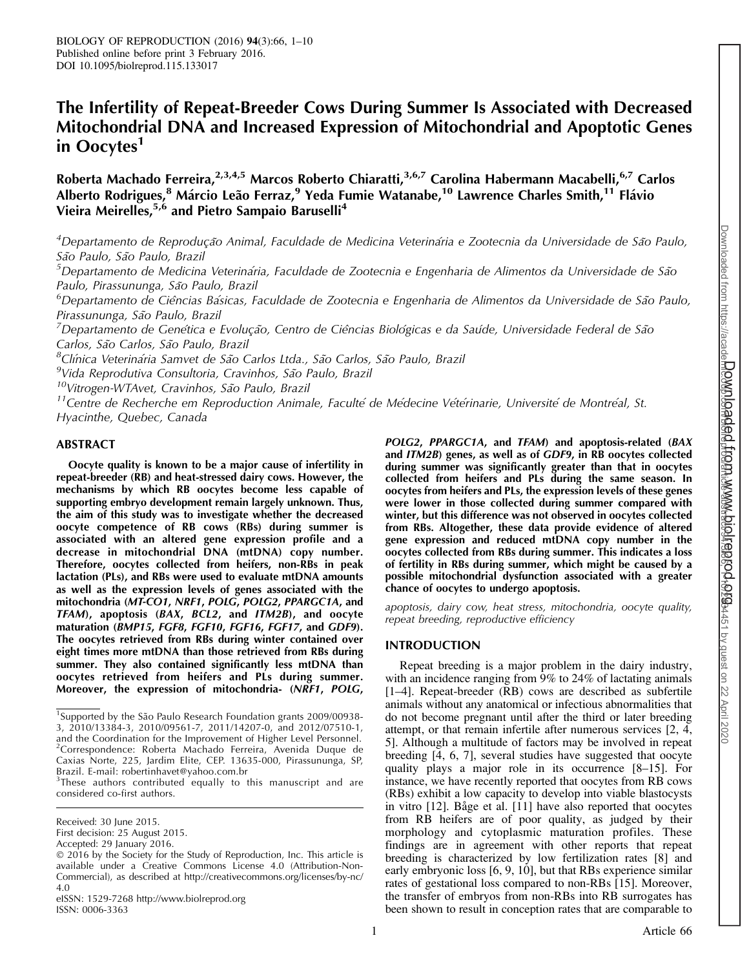# The Infertility of Repeat-Breeder Cows During Summer Is Associated with Decreased Mitochondrial DNA and Increased Expression of Mitochondrial and Apoptotic Genes in Oocytes<sup>1</sup>

Roberta Machado Ferreira, <sup>2,3,4,5</sup> Marcos Roberto Chiaratti, <sup>3,6,7</sup> Carolina Habermann Macabelli, <sup>6,7</sup> Carlos Alberto Rodrigues,<sup>8</sup> Márcio Leão Ferraz,<sup>9</sup> Yeda Fumie Watanabe,<sup>10</sup> Lawrence Charles Smith,<sup>11</sup> Flávio Vieira Meirelles,<sup>5,6</sup> and Pietro Sampaio Baruselli<sup>4</sup>

<sup>4</sup>Departamento de Reprodução Animal, Faculdade de Medicina Veterinária e Zootecnia da Universidade de São Paulo, São Paulo, São Paulo, Brazil

 $^5$ Departamento de Medicina Veterinária, Faculdade de Zootecnia e Engenharia de Alimentos da Universidade de São Paulo, Pirassununga, São Paulo, Brazil

 $^6$ Departamento de Ciências Básicas, Faculdade de Zootecnia e Engenharia de Alimentos da Universidade de São Paulo, Pirassununga, São Paulo, Brazil

 $^7$ Departamento de Genética e Evolução, Centro de Ciências Biológicas e da Saúde, Universidade Federal de São Carlos, São Carlos, São Paulo, Brazil

<sup>8</sup>Clínica Veterinária Samvet de São Carlos Ltda., São Carlos, São Paulo, Brazil

<sup>9</sup>Vida Reprodutiva Consultoria, Cravinhos, São Paulo, Brazil

<sup>10</sup>Vitrogen-WTAvet, Cravinhos, São Paulo, Brazil

<sup>11</sup>Centre de Recherche em Reproduction Animale, Faculté de Médecine Vétérinarie, Université de Montréal, St. Hyacinthe, Quebec, Canada

# ABSTRACT

Oocyte quality is known to be a major cause of infertility in repeat-breeder (RB) and heat-stressed dairy cows. However, the mechanisms by which RB oocytes become less capable of supporting embryo development remain largely unknown. Thus, the aim of this study was to investigate whether the decreased oocyte competence of RB cows (RBs) during summer is associated with an altered gene expression profile and a decrease in mitochondrial DNA (mtDNA) copy number. Therefore, oocytes collected from heifers, non-RBs in peak lactation (PLs), and RBs were used to evaluate mtDNA amounts as well as the expression levels of genes associated with the mitochondria (MT-CO1, NRF1, POLG, POLG2, PPARGC1A, and TFAM), apoptosis (BAX, BCL2, and ITM2B), and oocyte maturation (BMP15, FGF8, FGF10, FGF16, FGF17, and GDF9). The oocytes retrieved from RBs during winter contained over eight times more mtDNA than those retrieved from RBs during summer. They also contained significantly less mtDNA than oocytes retrieved from heifers and PLs during summer. Moreover, the expression of mitochondria- (NRF1, POLG,

eISSN: 1529-7268 http://www.biolreprod.org ISSN: 0006-3363

POLG2, PPARGC1A, and TFAM) and apoptosis-related (BAX and ITM2B) genes, as well as of GDF9, in RB oocytes collected during summer was significantly greater than that in oocytes collected from heifers and PLs during the same season. In oocytes from heifers and PLs, the expression levels of these genes were lower in those collected during summer compared with winter, but this difference was not observed in oocytes collected from RBs. Altogether, these data provide evidence of altered gene expression and reduced mtDNA copy number in the oocytes collected from RBs during summer. This indicates a loss of fertility in RBs during summer, which might be caused by a possible mitochondrial dysfunction associated with a greater chance of oocytes to undergo apoptosis.

apoptosis, dairy cow, heat stress, mitochondria, oocyte quality, repeat breeding, reproductive efficiency

## INTRODUCTION

Repeat breeding is a major problem in the dairy industry, with an incidence ranging from 9% to 24% of lactating animals [1–4]. Repeat-breeder (RB) cows are described as subfertile animals without any anatomical or infectious abnormalities that do not become pregnant until after the third or later breeding attempt, or that remain infertile after numerous services [2, 4, 5]. Although a multitude of factors may be involved in repeat breeding [4, 6, 7], several studies have suggested that oocyte quality plays a major role in its occurrence [8–15]. For instance, we have recently reported that oocytes from RB cows (RBs) exhibit a low capacity to develop into viable blastocysts in vitro  $[12]$ . Båge et al.  $[11]$  have also reported that oocytes from RB heifers are of poor quality, as judged by their morphology and cytoplasmic maturation profiles. These findings are in agreement with other reports that repeat breeding is characterized by low fertilization rates [8] and early embryonic loss [6, 9, 10], but that RBs experience similar rates of gestational loss compared to non-RBs [15]. Moreover, the transfer of embryos from non-RBs into RB surrogates has been shown to result in conception rates that are comparable to

<sup>&</sup>lt;sup>1</sup>Supported by the São Paulo Research Foundation grants 2009/00938-3, 2010/13384-3, 2010/09561-7, 2011/14207-0, and 2012/07510-1, and the Coordination for the Improvement of Higher Level Personnel. <sup>2</sup>Correspondence: Roberta Machado Ferreira, Avenida Duque de Caxias Norte, 225, Jardim Elite, CEP. 13635-000, Pirassununga, SP, Brazil. E-mail: robertinhavet@yahoo.com.br

 $3$ These authors contributed equally to this manuscript and are considered co-first authors.

Received: 30 June 2015.

First decision: 25 August 2015.

Accepted: 29 January 2016.

<sup>-</sup> 2016 by the Society for the Study of Reproduction, Inc. This article is available under a Creative Commons License 4.0 (Attribution-Non-Commercial), as described at http://creativecommons.org/licenses/by-nc/ 4.0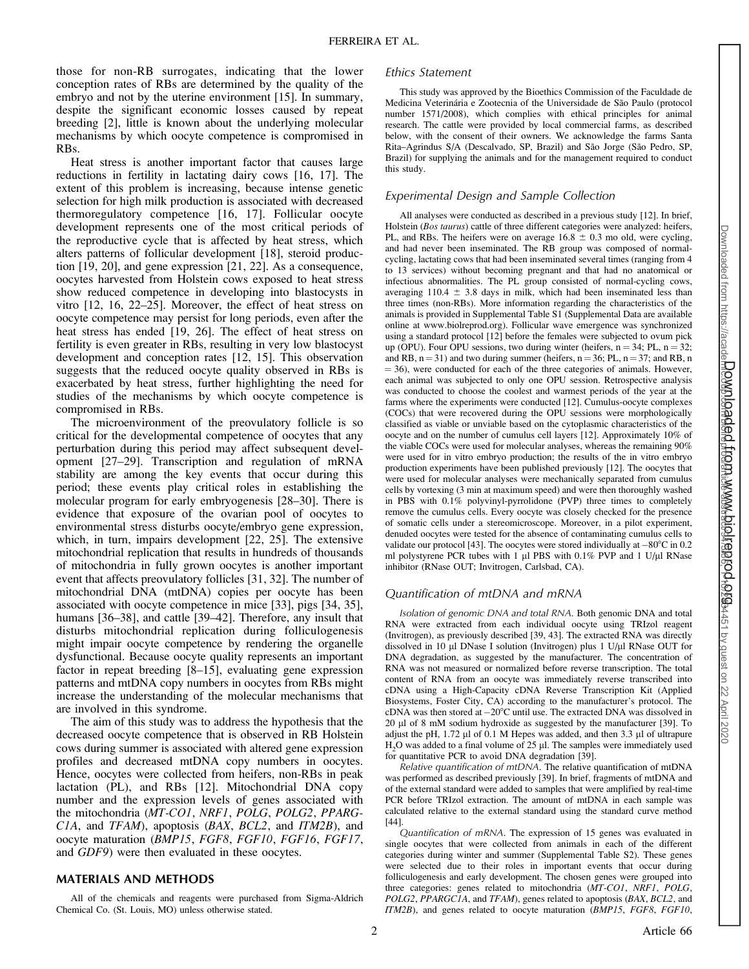those for non-RB surrogates, indicating that the lower conception rates of RBs are determined by the quality of the embryo and not by the uterine environment [15]. In summary, despite the significant economic losses caused by repeat breeding [2], little is known about the underlying molecular mechanisms by which oocyte competence is compromised in RBs.

Heat stress is another important factor that causes large reductions in fertility in lactating dairy cows [16, 17]. The extent of this problem is increasing, because intense genetic selection for high milk production is associated with decreased thermoregulatory competence [16, 17]. Follicular oocyte development represents one of the most critical periods of the reproductive cycle that is affected by heat stress, which alters patterns of follicular development [18], steroid production [19, 20], and gene expression [21, 22]. As a consequence, oocytes harvested from Holstein cows exposed to heat stress show reduced competence in developing into blastocysts in vitro [12, 16, 22–25]. Moreover, the effect of heat stress on oocyte competence may persist for long periods, even after the heat stress has ended [19, 26]. The effect of heat stress on fertility is even greater in RBs, resulting in very low blastocyst development and conception rates [12, 15]. This observation suggests that the reduced oocyte quality observed in RBs is exacerbated by heat stress, further highlighting the need for studies of the mechanisms by which oocyte competence is compromised in RBs.

The microenvironment of the preovulatory follicle is so critical for the developmental competence of oocytes that any perturbation during this period may affect subsequent development [27–29]. Transcription and regulation of mRNA stability are among the key events that occur during this period; these events play critical roles in establishing the molecular program for early embryogenesis [28–30]. There is evidence that exposure of the ovarian pool of oocytes to environmental stress disturbs oocyte/embryo gene expression, which, in turn, impairs development [22, 25]. The extensive mitochondrial replication that results in hundreds of thousands of mitochondria in fully grown oocytes is another important event that affects preovulatory follicles [31, 32]. The number of mitochondrial DNA (mtDNA) copies per oocyte has been associated with oocyte competence in mice [33], pigs [34, 35], humans [36–38], and cattle [39–42]. Therefore, any insult that disturbs mitochondrial replication during folliculogenesis might impair oocyte competence by rendering the organelle dysfunctional. Because oocyte quality represents an important factor in repeat breeding [8–15], evaluating gene expression patterns and mtDNA copy numbers in oocytes from RBs might increase the understanding of the molecular mechanisms that are involved in this syndrome.

The aim of this study was to address the hypothesis that the decreased oocyte competence that is observed in RB Holstein cows during summer is associated with altered gene expression profiles and decreased mtDNA copy numbers in oocytes. Hence, oocytes were collected from heifers, non-RBs in peak lactation (PL), and RBs [12]. Mitochondrial DNA copy number and the expression levels of genes associated with the mitochondria (MT-CO1, NRF1, POLG, POLG2, PPARG-C1A, and TFAM), apoptosis (BAX, BCL2, and ITM2B), and oocyte maturation (BMP15, FGF8, FGF10, FGF16, FGF17, and GDF9) were then evaluated in these oocytes.

### MATERIALS AND METHODS

All of the chemicals and reagents were purchased from Sigma-Aldrich Chemical Co. (St. Louis, MO) unless otherwise stated.

#### Ethics Statement

This study was approved by the Bioethics Commission of the Faculdade de Medicina Veterinária e Zootecnia of the Universidade de São Paulo (protocol number 1571/2008), which complies with ethical principles for animal research. The cattle were provided by local commercial farms, as described below, with the consent of their owners. We acknowledge the farms Santa Rita–Agrindus S/A (Descalvado, SP, Brazil) and São Jorge (São Pedro, SP, Brazil) for supplying the animals and for the management required to conduct this study.

#### Experimental Design and Sample Collection

All analyses were conducted as described in a previous study [12]. In brief, Holstein (Bos taurus) cattle of three different categories were analyzed: heifers, PL, and RBs. The heifers were on average  $16.8 \pm 0.3$  mo old, were cycling, and had never been inseminated. The RB group was composed of normalcycling, lactating cows that had been inseminated several times (ranging from 4 to 13 services) without becoming pregnant and that had no anatomical or infectious abnormalities. The PL group consisted of normal-cycling cows, averaging  $110.4 \pm 3.8$  days in milk, which had been inseminated less than three times (non-RBs). More information regarding the characteristics of the animals is provided in Supplemental Table S1 (Supplemental Data are available online at www.biolreprod.org). Follicular wave emergence was synchronized using a standard protocol [12] before the females were subjected to ovum pick up (OPU). Four OPU sessions, two during winter (heifers,  $n = 34$ ; PL,  $n = 32$ ; and RB,  $n = 31$ ) and two during summer (heifers,  $n = 36$ ; PL,  $n = 37$ ; and RB, n  $=$  36), were conducted for each of the three categories of animals. However, each animal was subjected to only one OPU session. Retrospective analysis was conducted to choose the coolest and warmest periods of the year at the farms where the experiments were conducted [12]. Cumulus-oocyte complexes (COCs) that were recovered during the OPU sessions were morphologically classified as viable or unviable based on the cytoplasmic characteristics of the oocyte and on the number of cumulus cell layers [12]. Approximately 10% of the viable COCs were used for molecular analyses, whereas the remaining 90% were used for in vitro embryo production; the results of the in vitro embryo production experiments have been published previously [12]. The oocytes that were used for molecular analyses were mechanically separated from cumulus cells by vortexing (3 min at maximum speed) and were then thoroughly washed in PBS with 0.1% polyvinyl-pyrrolidone (PVP) three times to completely remove the cumulus cells. Every oocyte was closely checked for the presence of somatic cells under a stereomicroscope. Moreover, in a pilot experiment, denuded oocytes were tested for the absence of contaminating cumulus cells to validate our protocol [43]. The oocytes were stored individually at  $-80^{\circ}$ C in 0.2 ml polystyrene PCR tubes with 1  $\mu$ l PBS with 0.1% PVP and 1 U/ $\mu$ l RNase inhibitor (RNase OUT; Invitrogen, Carlsbad, CA).

## Quantification of mtDNA and mRNA

Isolation of genomic DNA and total RNA. Both genomic DNA and total RNA were extracted from each individual oocyte using TRIzol reagent (Invitrogen), as previously described [39, 43]. The extracted RNA was directly dissolved in 10 µl DNase I solution (Invitrogen) plus 1 U/µl RNase OUT for DNA degradation, as suggested by the manufacturer. The concentration of RNA was not measured or normalized before reverse transcription. The total content of RNA from an oocyte was immediately reverse transcribed into cDNA using a High-Capacity cDNA Reverse Transcription Kit (Applied Biosystems, Foster City, CA) according to the manufacturer's protocol. The  $cDNA$  was then stored at  $-20^{\circ}C$  until use. The extracted DNA was dissolved in 20 ll of 8 mM sodium hydroxide as suggested by the manufacturer [39]. To adjust the pH,  $1.72 \mu$ l of 0.1 M Hepes was added, and then 3.3  $\mu$ l of ultrapure  $H<sub>2</sub>O$  was added to a final volume of 25  $\mu$ l. The samples were immediately used for quantitative PCR to avoid DNA degradation [39].

Relative quantification of mtDNA. The relative quantification of mtDNA was performed as described previously [39]. In brief, fragments of mtDNA and of the external standard were added to samples that were amplified by real-time PCR before TRIzol extraction. The amount of mtDNA in each sample was calculated relative to the external standard using the standard curve method [44].

Quantification of mRNA. The expression of 15 genes was evaluated in single oocytes that were collected from animals in each of the different categories during winter and summer (Supplemental Table S2). These genes were selected due to their roles in important events that occur during folliculogenesis and early development. The chosen genes were grouped into three categories: genes related to mitochondria (MT-CO1, NRF1, POLG, POLG2, PPARGC1A, and TFAM), genes related to apoptosis (BAX, BCL2, and ITM2B), and genes related to oocyte maturation (BMP15, FGF8, FGF10,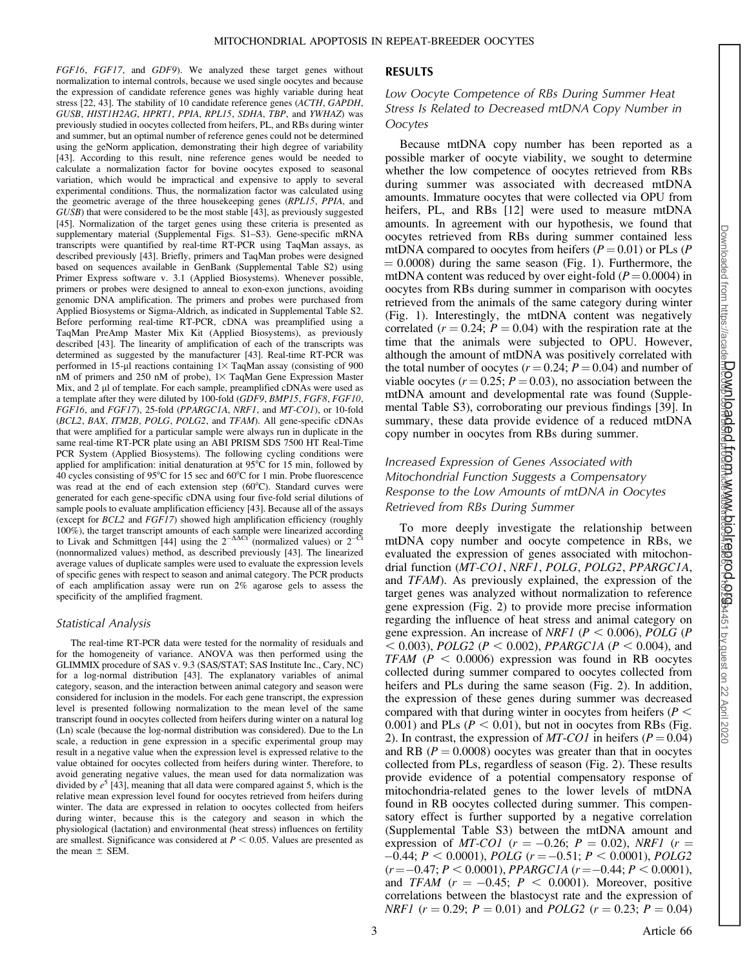FGF16, FGF17, and GDF9). We analyzed these target genes without normalization to internal controls, because we used single oocytes and because the expression of candidate reference genes was highly variable during heat stress [22, 43]. The stability of 10 candidate reference genes (ACTH, GAPDH, GUSB, HIST1H2AG, HPRT1, PPIA, RPL15, SDHA, TBP, and YWHAZ) was previously studied in oocytes collected from heifers, PL, and RBs during winter and summer, but an optimal number of reference genes could not be determined using the geNorm application, demonstrating their high degree of variability [43]. According to this result, nine reference genes would be needed to calculate a normalization factor for bovine oocytes exposed to seasonal variation, which would be impractical and expensive to apply to several experimental conditions. Thus, the normalization factor was calculated using the geometric average of the three housekeeping genes (RPL15, PPIA, and GUSB) that were considered to be the most stable [43], as previously suggested [45]. Normalization of the target genes using these criteria is presented as supplementary material (Supplemental Figs. S1–S3). Gene-specific mRNA transcripts were quantified by real-time RT-PCR using TaqMan assays, as described previously [43]. Briefly, primers and TaqMan probes were designed based on sequences available in GenBank (Supplemental Table S2) using Primer Express software v. 3.1 (Applied Biosystems). Whenever possible, primers or probes were designed to anneal to exon-exon junctions, avoiding genomic DNA amplification. The primers and probes were purchased from Applied Biosystems or Sigma-Aldrich, as indicated in Supplemental Table S2. Before performing real-time RT-PCR, cDNA was preamplified using a TaqMan PreAmp Master Mix Kit (Applied Biosystems), as previously described [43]. The linearity of amplification of each of the transcripts was determined as suggested by the manufacturer [43]. Real-time RT-PCR was performed in 15-µl reactions containing  $1\times$  TaqMan assay (consisting of 900 nM of primers and 250 nM of probe),  $1 \times$  TaqMan Gene Expression Master Mix, and 2 µl of template. For each sample, preamplified cDNAs were used as a template after they were diluted by 100-fold (GDF9, BMP15, FGF8, FGF10, FGF16, and FGF17), 25-fold (PPARGC1A, NRF1, and MT-CO1), or 10-fold (BCL2, BAX, ITM2B, POLG, POLG2, and TFAM). All gene-specific cDNAs that were amplified for a particular sample were always run in duplicate in the same real-time RT-PCR plate using an ABI PRISM SDS 7500 HT Real-Time PCR System (Applied Biosystems). The following cycling conditions were applied for amplification: initial denaturation at  $95^{\circ}$ C for 15 min, followed by 40 cycles consisting of 95 $^{\circ}$ C for 15 sec and 60 $^{\circ}$ C for 1 min. Probe fluorescence was read at the end of each extension step  $(60^{\circ}C)$ . Standard curves were generated for each gene-specific cDNA using four five-fold serial dilutions of sample pools to evaluate amplification efficiency [43]. Because all of the assays (except for BCL2 and FGF17) showed high amplification efficiency (roughly 100%), the target transcript amounts of each sample were linearized according to Livak and Schmittgen [44] using the  $2^{-\Delta\Delta Ct}$  (normalized values) or  $2^{-CT}$ (nonnormalized values) method, as described previously [43]. The linearized average values of duplicate samples were used to evaluate the expression levels of specific genes with respect to season and animal category. The PCR products of each amplification assay were run on 2% agarose gels to assess the specificity of the amplified fragment.

#### Statistical Analysis

The real-time RT-PCR data were tested for the normality of residuals and for the homogeneity of variance. ANOVA was then performed using the GLIMMIX procedure of SAS v. 9.3 (SAS/STAT; SAS Institute Inc., Cary, NC) for a log-normal distribution [43]. The explanatory variables of animal category, season, and the interaction between animal category and season were considered for inclusion in the models. For each gene transcript, the expression level is presented following normalization to the mean level of the same transcript found in oocytes collected from heifers during winter on a natural log (Ln) scale (because the log-normal distribution was considered). Due to the Ln scale, a reduction in gene expression in a specific experimental group may result in a negative value when the expression level is expressed relative to the value obtained for oocytes collected from heifers during winter. Therefore, to avoid generating negative values, the mean used for data normalization was divided by  $e^5$  [43], meaning that all data were compared against 5, which is the relative mean expression level found for oocytes retrieved from heifers during winter. The data are expressed in relation to oocytes collected from heifers during winter, because this is the category and season in which the physiological (lactation) and environmental (heat stress) influences on fertility are smallest. Significance was considered at  $P < 0.05$ . Values are presented as the mean  $\pm$  SEM.

#### RESULTS

# Low Oocyte Competence of RBs During Summer Heat Stress Is Related to Decreased mtDNA Copy Number in **Oocytes**

Because mtDNA copy number has been reported as a possible marker of oocyte viability, we sought to determine whether the low competence of oocytes retrieved from RBs during summer was associated with decreased mtDNA amounts. Immature oocytes that were collected via OPU from heifers, PL, and RBs [12] were used to measure mtDNA amounts. In agreement with our hypothesis, we found that oocytes retrieved from RBs during summer contained less mtDNA compared to oocytes from heifers ( $P = 0.01$ ) or PLs ( $P$  $= 0.0008$ ) during the same season (Fig. 1). Furthermore, the mtDNA content was reduced by over eight-fold  $(P = 0.0004)$  in oocytes from RBs during summer in comparison with oocytes retrieved from the animals of the same category during winter (Fig. 1). Interestingly, the mtDNA content was negatively correlated ( $r = 0.24$ ;  $P = 0.04$ ) with the respiration rate at the time that the animals were subjected to OPU. However, although the amount of mtDNA was positively correlated with the total number of oocytes ( $r = 0.24$ ;  $P = 0.04$ ) and number of viable oocytes ( $r = 0.25$ ;  $P = 0.03$ ), no association between the mtDNA amount and developmental rate was found (Supplemental Table S3), corroborating our previous findings [39]. In summary, these data provide evidence of a reduced mtDNA copy number in oocytes from RBs during summer.

# Increased Expression of Genes Associated with Mitochondrial Function Suggests a Compensatory Response to the Low Amounts of mtDNA in Oocytes Retrieved from RBs During Summer

To more deeply investigate the relationship between mtDNA copy number and oocyte competence in RBs, we evaluated the expression of genes associated with mitochondrial function (MT-CO1, NRF1, POLG, POLG2, PPARGC1A, and TFAM). As previously explained, the expression of the target genes was analyzed without normalization to reference gene expression (Fig. 2) to provide more precise information regarding the influence of heat stress and animal category on gene expression. An increase of *NRF1* ( $P < 0.006$ ), *POLG* ( $P$  $<$  0.003), *POLG2* (*P*  $<$  0.002), *PPARGC1A* (*P*  $<$  0.004), and  $TFAM$  ( $P < 0.0006$ ) expression was found in RB oocytes collected during summer compared to oocytes collected from heifers and PLs during the same season (Fig. 2). In addition, the expression of these genes during summer was decreased compared with that during winter in oocytes from heifers ( $P <$ 0.001) and PLs ( $P < 0.01$ ), but not in oocytes from RBs (Fig. 2). In contrast, the expression of  $MT$ -CO1 in heifers ( $P = 0.04$ ) and RB ( $P = 0.0008$ ) oocytes was greater than that in oocytes collected from PLs, regardless of season (Fig. 2). These results provide evidence of a potential compensatory response of mitochondria-related genes to the lower levels of mtDNA found in RB oocytes collected during summer. This compensatory effect is further supported by a negative correlation (Supplemental Table S3) between the mtDNA amount and expression of *MT-CO1* ( $r = -0.26$ ;  $P = 0.02$ ), *NRF1* ( $r =$  $-0.44; P < 0.0001$ ), *POLG* ( $r = -0.51; P < 0.0001$ ), *POLG2*  $(r = -0.47; P < 0.0001)$ , PPARGCIA  $(r = -0.44; P < 0.0001)$ , and TFAM  $(r = -0.45; P < 0.0001)$ . Moreover, positive correlations between the blastocyst rate and the expression of *NRF1* ( $r = 0.29$ ;  $P = 0.01$ ) and *POLG2* ( $r = 0.23$ ;  $P = 0.04$ )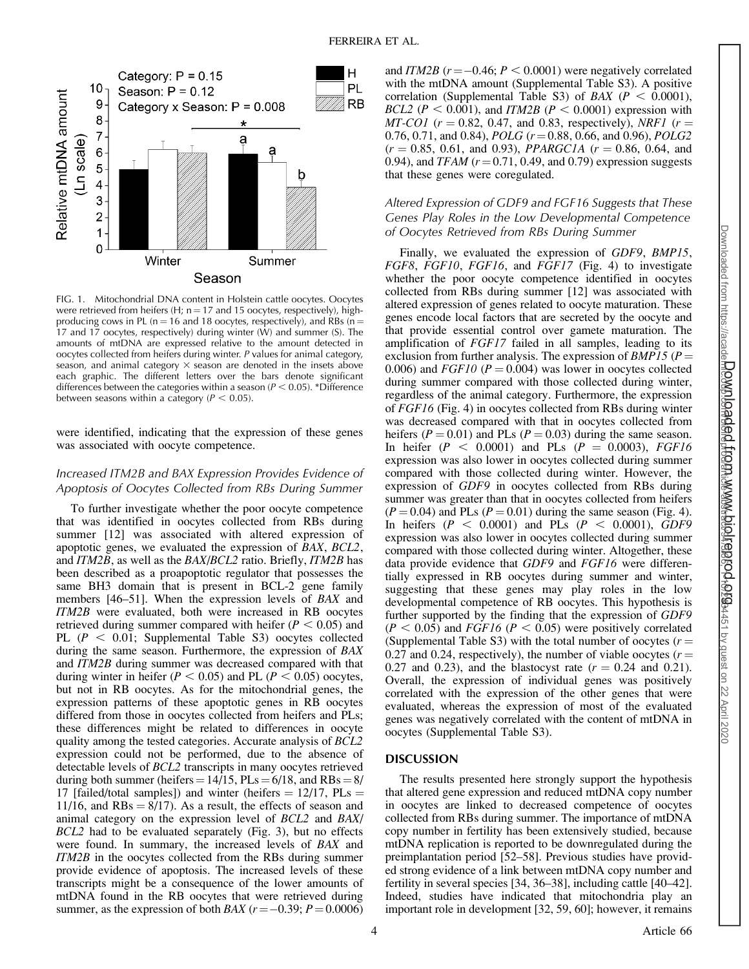

FIG. 1. Mitochondrial DNA content in Holstein cattle oocytes. Oocytes were retrieved from heifers (H;  $n = 17$  and 15 oocytes, respectively), highproducing cows in PL (n = 16 and 18 oocytes, respectively), and RBs ( $n =$ 17 and 17 oocytes, respectively) during winter (W) and summer (S). The amounts of mtDNA are expressed relative to the amount detected in oocytes collected from heifers during winter. P values for animal category, season, and animal category  $\times$  season are denoted in the insets above each graphic. The different letters over the bars denote significant differences between the categories within a season ( $P < 0.05$ ). \*Difference between seasons within a category ( $P < 0.05$ ).

were identified, indicating that the expression of these genes was associated with oocyte competence.

## Increased ITM2B and BAX Expression Provides Evidence of Apoptosis of Oocytes Collected from RBs During Summer

To further investigate whether the poor oocyte competence that was identified in oocytes collected from RBs during summer [12] was associated with altered expression of apoptotic genes, we evaluated the expression of BAX, BCL2, and ITM2B, as well as the BAX/BCL2 ratio. Briefly, ITM2B has been described as a proapoptotic regulator that possesses the same BH3 domain that is present in BCL-2 gene family members [46–51]. When the expression levels of BAX and ITM2B were evaluated, both were increased in RB oocytes retrieved during summer compared with heifer  $(P < 0.05)$  and PL  $(P < 0.01$ ; Supplemental Table S3) oocytes collected during the same season. Furthermore, the expression of BAX and ITM2B during summer was decreased compared with that during winter in heifer ( $P < 0.05$ ) and PL ( $P < 0.05$ ) oocytes, but not in RB oocytes. As for the mitochondrial genes, the expression patterns of these apoptotic genes in RB oocytes differed from those in oocytes collected from heifers and PLs; these differences might be related to differences in oocyte quality among the tested categories. Accurate analysis of BCL2 expression could not be performed, due to the absence of detectable levels of BCL2 transcripts in many oocytes retrieved during both summer (heifers =  $14/15$ , PLs =  $6/18$ , and RBs =  $8/$ 17 [failed/total samples]) and winter (heifers  $= 12/17$ , PLs  $=$ 11/16, and  $RBs = 8/17$ ). As a result, the effects of season and animal category on the expression level of BCL2 and BAX/ BCL2 had to be evaluated separately (Fig. 3), but no effects were found. In summary, the increased levels of BAX and ITM2B in the oocytes collected from the RBs during summer provide evidence of apoptosis. The increased levels of these transcripts might be a consequence of the lower amounts of mtDNA found in the RB oocytes that were retrieved during summer, as the expression of both *BAX* ( $r = -0.39$ ;  $P = 0.0006$ )

and *ITM2B*  $(r = -0.46; P < 0.0001)$  were negatively correlated with the mtDNA amount (Supplemental Table S3). A positive correlation (Supplemental Table S3) of BAX ( $P < 0.0001$ ), BCL2 ( $P < 0.001$ ), and ITM2B ( $P < 0.0001$ ) expression with  $MT\text{-}CO1$  ( $r = 0.82, 0.47,$  and 0.83, respectively), NRF1 ( $r =$ 0.76, 0.71, and 0.84), *POLG*  $(r = 0.88, 0.66,$  and 0.96), *POLG2*  $(r = 0.85, 0.61, \text{ and } 0.93),$  PPARGC1A  $(r = 0.86, 0.64, \text{ and } 0.93)$ 0.94), and TFAM  $(r=0.71, 0.49,$  and 0.79) expression suggests that these genes were coregulated.

# Altered Expression of GDF9 and FGF16 Suggests that These Genes Play Roles in the Low Developmental Competence of Oocytes Retrieved from RBs During Summer

Finally, we evaluated the expression of GDF9, BMP15, FGF8, FGF10, FGF16, and FGF17 (Fig. 4) to investigate whether the poor oocyte competence identified in oocytes collected from RBs during summer [12] was associated with altered expression of genes related to oocyte maturation. These genes encode local factors that are secreted by the oocyte and that provide essential control over gamete maturation. The amplification of FGF17 failed in all samples, leading to its exclusion from further analysis. The expression of  $BMP15$  ( $P =$ 0.006) and  $FGF10$  ( $P = 0.004$ ) was lower in oocytes collected during summer compared with those collected during winter, regardless of the animal category. Furthermore, the expression of FGF16 (Fig. 4) in oocytes collected from RBs during winter was decreased compared with that in oocytes collected from heifers ( $P = 0.01$ ) and PLs ( $P = 0.03$ ) during the same season. In heifer ( $P < 0.0001$ ) and PLs ( $P = 0.0003$ ), FGF16 expression was also lower in oocytes collected during summer compared with those collected during winter. However, the expression of GDF9 in oocytes collected from RBs during summer was greater than that in oocytes collected from heifers  $(P = 0.04)$  and PLs  $(P = 0.01)$  during the same season (Fig. 4). In heifers  $(P < 0.0001)$  and PLs  $(P < 0.0001)$ , GDF9 expression was also lower in oocytes collected during summer compared with those collected during winter. Altogether, these data provide evidence that GDF9 and FGF16 were differentially expressed in RB oocytes during summer and winter, suggesting that these genes may play roles in the low developmental competence of RB oocytes. This hypothesis is further supported by the finding that the expression of GDF9  $(P < 0.05)$  and FGF16 (P < 0.05) were positively correlated (Supplemental Table S3) with the total number of oocytes  $(r =$ 0.27 and 0.24, respectively), the number of viable oocytes ( $r =$ 0.27 and 0.23), and the blastocyst rate  $(r = 0.24$  and 0.21). Overall, the expression of individual genes was positively correlated with the expression of the other genes that were evaluated, whereas the expression of most of the evaluated genes was negatively correlated with the content of mtDNA in oocytes (Supplemental Table S3).

# DISCUSSION

The results presented here strongly support the hypothesis that altered gene expression and reduced mtDNA copy number in oocytes are linked to decreased competence of oocytes collected from RBs during summer. The importance of mtDNA copy number in fertility has been extensively studied, because mtDNA replication is reported to be downregulated during the preimplantation period [52–58]. Previous studies have provided strong evidence of a link between mtDNA copy number and fertility in several species [34, 36–38], including cattle [40–42]. Indeed, studies have indicated that mitochondria play an important role in development [32, 59, 60]; however, it remains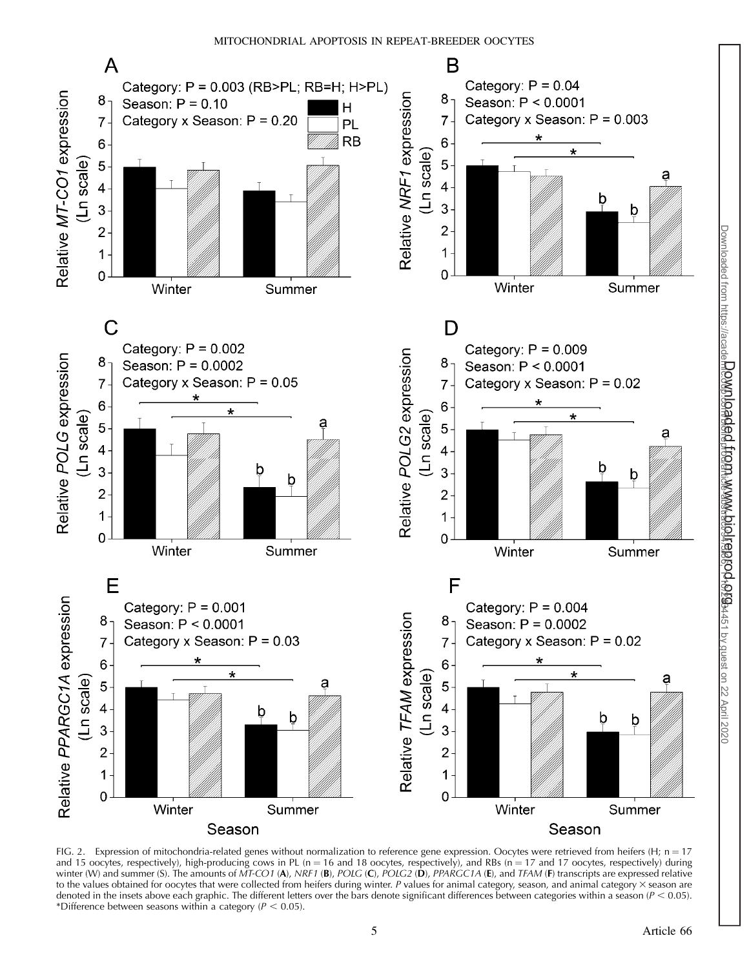

FIG. 2. Expression of mitochondria-related genes without normalization to reference gene expression. Oocytes were retrieved from heifers (H;  $n = 17$ and 15 oocytes, respectively), high-producing cows in PL (n = 16 and 18 oocytes, respectively), and RBs (n = 17 and 17 oocytes, respectively) during winter (W) and summer (S). The amounts of MT-CO1 (A), NRF1 (B), POLG (C), POLG2 (D), PPARGC1A (E), and TFAM (F) transcripts are expressed relative to the values obtained for oocytes that were collected from heifers during winter. P values for animal category, season, and animal category  $\times$  season are denoted in the insets above each graphic. The different letters over the bars denote significant differences between categories within a season ( $P < 0.05$ ). \*Difference between seasons within a category ( $P < 0.05$ ).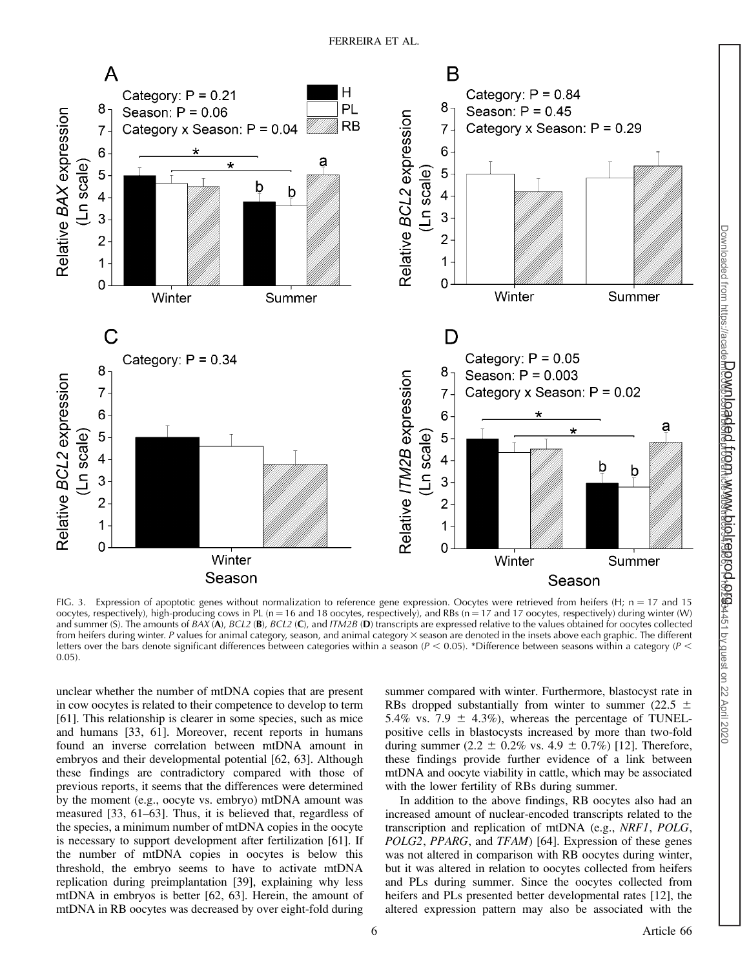

FIG. 3. Expression of apoptotic genes without normalization to reference gene expression. Oocytes were retrieved from heifers (H;  $n = 17$  and 15 oocytes, respectively), high-producing cows in PL (n = 16 and 18 oocytes, respectively), and RBs (n = 17 and 17 oocytes, respectively) during winter (W) and summer (S). The amounts of BAX (A), BCL2 (B), BCL2 (C), and ITM2B (D) transcripts are expressed relative to the values obtained for oocytes collected from heifers during winter. P values for animal category, season, and animal category × season are denoted in the insets above each graphic. The different letters over the bars denote significant differences between categories within a season ( $P < 0.05$ ). \*Difference between seasons within a category ( $P <$ 0.05).

unclear whether the number of mtDNA copies that are present in cow oocytes is related to their competence to develop to term [61]. This relationship is clearer in some species, such as mice and humans [33, 61]. Moreover, recent reports in humans found an inverse correlation between mtDNA amount in embryos and their developmental potential [62, 63]. Although these findings are contradictory compared with those of previous reports, it seems that the differences were determined by the moment (e.g., oocyte vs. embryo) mtDNA amount was measured [33, 61–63]. Thus, it is believed that, regardless of the species, a minimum number of mtDNA copies in the oocyte is necessary to support development after fertilization [61]. If the number of mtDNA copies in oocytes is below this threshold, the embryo seems to have to activate mtDNA replication during preimplantation [39], explaining why less mtDNA in embryos is better [62, 63]. Herein, the amount of mtDNA in RB oocytes was decreased by over eight-fold during

summer compared with winter. Furthermore, blastocyst rate in RBs dropped substantially from winter to summer (22.5  $\pm$ 5.4% vs. 7.9  $\pm$  4.3%), whereas the percentage of TUNELpositive cells in blastocysts increased by more than two-fold during summer (2.2  $\pm$  0.2% vs. 4.9  $\pm$  0.7%) [12]. Therefore, these findings provide further evidence of a link between mtDNA and oocyte viability in cattle, which may be associated with the lower fertility of RBs during summer.

In addition to the above findings, RB oocytes also had an increased amount of nuclear-encoded transcripts related to the transcription and replication of mtDNA (e.g., NRF1, POLG, POLG2, PPARG, and TFAM) [64]. Expression of these genes was not altered in comparison with RB oocytes during winter, but it was altered in relation to oocytes collected from heifers and PLs during summer. Since the oocytes collected from heifers and PLs presented better developmental rates [12], the altered expression pattern may also be associated with the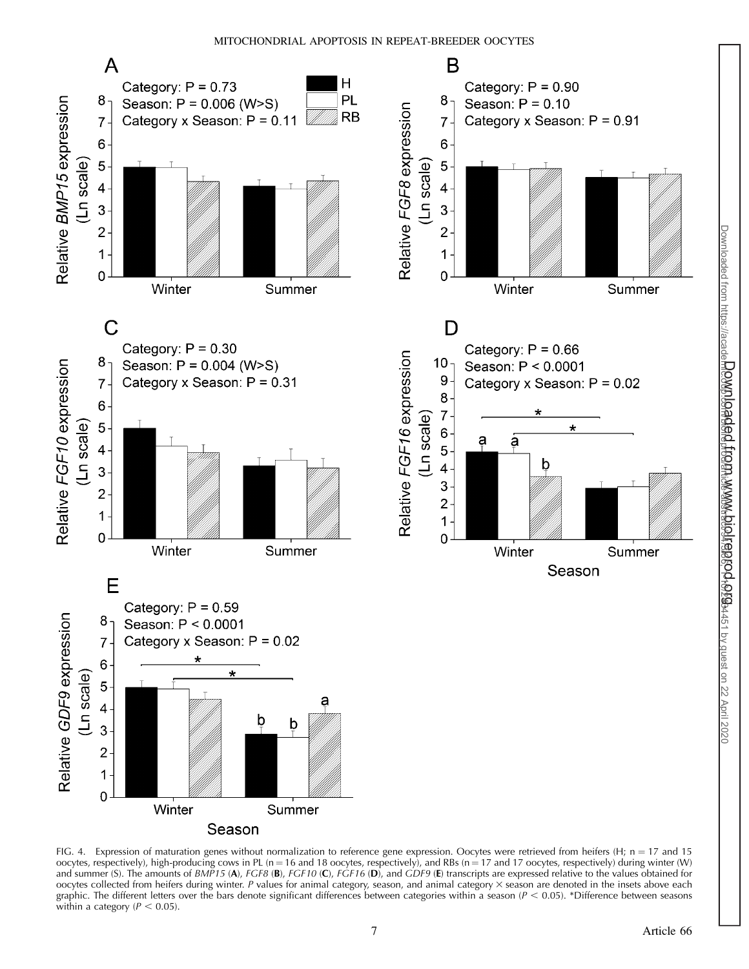

FIG. 4. Expression of maturation genes without normalization to reference gene expression. Oocytes were retrieved from heifers (H;  $n = 17$  and 15 oocytes, respectively), high-producing cows in PL (n = 16 and 18 oocytes, respectively), and RBs (n = 17 and 17 oocytes, respectively) during winter (W) and summer (S). The amounts of  $B\overline{MP}$ 15 (A), FGF8 (B), FGF10 (C), FGF16 (D), and GDF9 (E) transcripts are expressed relative to the values obtained for oocytes collected from heifers during winter. P values for animal category, season, and animal category  $\times$  season are denoted in the insets above each graphic. The different letters over the bars denote significant differences between categories within a season  $(P < 0.05)$ . \*Difference between seasons within a category ( $P < 0.05$ ).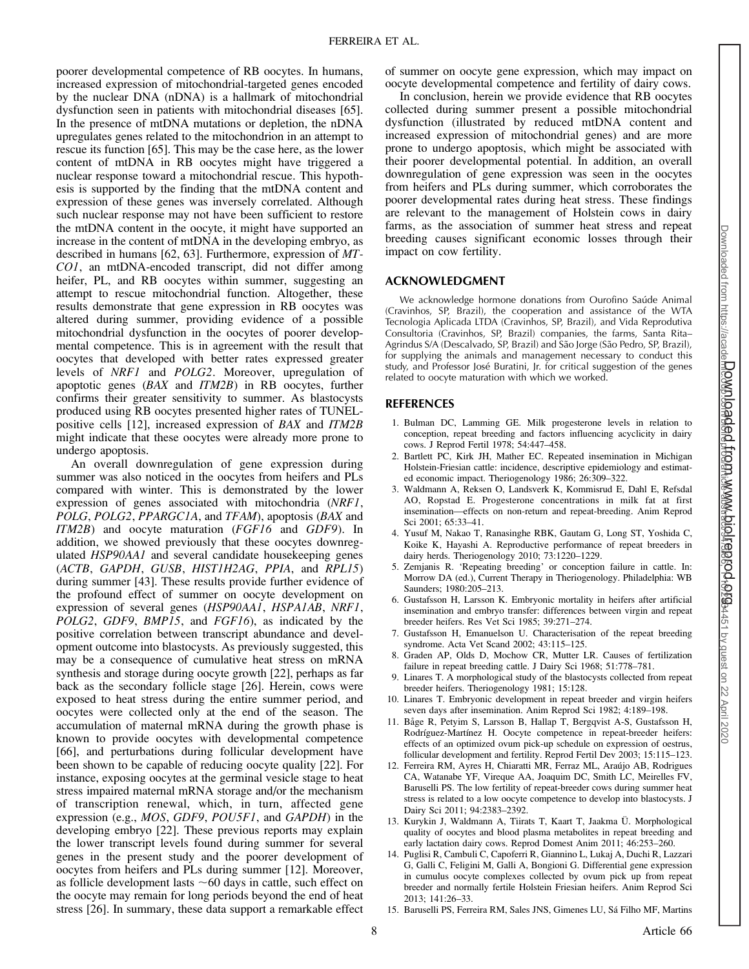poorer developmental competence of RB oocytes. In humans, increased expression of mitochondrial-targeted genes encoded by the nuclear DNA (nDNA) is a hallmark of mitochondrial dysfunction seen in patients with mitochondrial diseases [65]. In the presence of mtDNA mutations or depletion, the nDNA upregulates genes related to the mitochondrion in an attempt to rescue its function [65]. This may be the case here, as the lower content of mtDNA in RB oocytes might have triggered a nuclear response toward a mitochondrial rescue. This hypothesis is supported by the finding that the mtDNA content and expression of these genes was inversely correlated. Although such nuclear response may not have been sufficient to restore the mtDNA content in the oocyte, it might have supported an increase in the content of mtDNA in the developing embryo, as described in humans [62, 63]. Furthermore, expression of MT-CO1, an mtDNA-encoded transcript, did not differ among heifer, PL, and RB oocytes within summer, suggesting an attempt to rescue mitochondrial function. Altogether, these results demonstrate that gene expression in RB oocytes was altered during summer, providing evidence of a possible mitochondrial dysfunction in the oocytes of poorer developmental competence. This is in agreement with the result that oocytes that developed with better rates expressed greater levels of NRF1 and POLG2. Moreover, upregulation of apoptotic genes (BAX and ITM2B) in RB oocytes, further confirms their greater sensitivity to summer. As blastocysts produced using RB oocytes presented higher rates of TUNELpositive cells [12], increased expression of BAX and ITM2B might indicate that these oocytes were already more prone to undergo apoptosis.

An overall downregulation of gene expression during summer was also noticed in the oocytes from heifers and PLs compared with winter. This is demonstrated by the lower expression of genes associated with mitochondria (NRF1, POLG, POLG2, PPARGC1A, and TFAM), apoptosis (BAX and ITM2B) and oocyte maturation (FGF16 and GDF9). In addition, we showed previously that these oocytes downregulated HSP90AA1 and several candidate housekeeping genes (ACTB, GAPDH, GUSB, HIST1H2AG, PPIA, and RPL15) during summer [43]. These results provide further evidence of the profound effect of summer on oocyte development on expression of several genes (HSP90AA1, HSPA1AB, NRF1, POLG2, GDF9, BMP15, and FGF16), as indicated by the positive correlation between transcript abundance and development outcome into blastocysts. As previously suggested, this may be a consequence of cumulative heat stress on mRNA synthesis and storage during oocyte growth [22], perhaps as far back as the secondary follicle stage [26]. Herein, cows were exposed to heat stress during the entire summer period, and oocytes were collected only at the end of the season. The accumulation of maternal mRNA during the growth phase is known to provide oocytes with developmental competence [66], and perturbations during follicular development have been shown to be capable of reducing oocyte quality [22]. For instance, exposing oocytes at the germinal vesicle stage to heat stress impaired maternal mRNA storage and/or the mechanism of transcription renewal, which, in turn, affected gene expression (e.g., MOS, GDF9, POU5F1, and GAPDH) in the developing embryo [22]. These previous reports may explain the lower transcript levels found during summer for several genes in the present study and the poorer development of oocytes from heifers and PLs during summer [12]. Moreover, as follicle development lasts  $~60$  days in cattle, such effect on the oocyte may remain for long periods beyond the end of heat stress [26]. In summary, these data support a remarkable effect

of summer on oocyte gene expression, which may impact on oocyte developmental competence and fertility of dairy cows.

In conclusion, herein we provide evidence that RB oocytes collected during summer present a possible mitochondrial dysfunction (illustrated by reduced mtDNA content and increased expression of mitochondrial genes) and are more prone to undergo apoptosis, which might be associated with their poorer developmental potential. In addition, an overall downregulation of gene expression was seen in the oocytes from heifers and PLs during summer, which corroborates the poorer developmental rates during heat stress. These findings are relevant to the management of Holstein cows in dairy farms, as the association of summer heat stress and repeat breeding causes significant economic losses through their impact on cow fertility.

## ACKNOWLEDGMENT

We acknowledge hormone donations from Ourofino Saúde Animal (Cravinhos, SP, Brazil), the cooperation and assistance of the WTA Tecnologia Aplicada LTDA (Cravinhos, SP, Brazil), and Vida Reprodutiva Consultoria (Cravinhos, SP, Brazil) companies, the farms, Santa Rita– Agrindus S/A (Descalvado, SP, Brazil) and São Jorge (São Pedro, SP, Brazil), for supplying the animals and management necessary to conduct this study, and Professor José Buratini, Jr. for critical suggestion of the genes related to oocyte maturation with which we worked.

# REFERENCES

- 1. Bulman DC, Lamming GE. Milk progesterone levels in relation to conception, repeat breeding and factors influencing acyclicity in dairy cows. J Reprod Fertil 1978; 54:447–458.
- 2. Bartlett PC, Kirk JH, Mather EC. Repeated insemination in Michigan Holstein-Friesian cattle: incidence, descriptive epidemiology and estimated economic impact. Theriogenology 1986; 26:309–322.
- 3. Waldmann A, Reksen O, Landsverk K, Kommisrud E, Dahl E, Refsdal AO, Ropstad E. Progesterone concentrations in milk fat at first insemination—effects on non-return and repeat-breeding. Anim Reprod Sci 2001; 65:33–41.
- 4. Yusuf M, Nakao T, Ranasinghe RBK, Gautam G, Long ST, Yoshida C, Koike K, Hayashi A. Reproductive performance of repeat breeders in dairy herds. Theriogenology 2010; 73:1220–1229.
- 5. Zemjanis R. 'Repeating breeding' or conception failure in cattle. In: Morrow DA (ed.), Current Therapy in Theriogenology. Philadelphia: WB Saunders; 1980:205–213.
- 6. Gustafsson H, Larsson K. Embryonic mortality in heifers after artificial insemination and embryo transfer: differences between virgin and repeat breeder heifers. Res Vet Sci 1985; 39:271–274.
- 7. Gustafsson H, Emanuelson U. Characterisation of the repeat breeding syndrome. Acta Vet Scand 2002; 43:115–125.
- 8. Graden AP, Olds D, Mochow CR, Mutter LR. Causes of fertilization failure in repeat breeding cattle. J Dairy Sci 1968; 51:778–781.
- 9. Linares T. A morphological study of the blastocysts collected from repeat breeder heifers. Theriogenology 1981; 15:128.
- 10. Linares T. Embryonic development in repeat breeder and virgin heifers seven days after insemination. Anim Reprod Sci 1982; 4:189–198.
- 11. Båge R, Petyim S, Larsson B, Hallap T, Bergqvist A-S, Gustafsson H, Rodríguez-Martínez H. Oocyte competence in repeat-breeder heifers: effects of an optimized ovum pick-up schedule on expression of oestrus, follicular development and fertility. Reprod Fertil Dev 2003; 15:115–123.
- 12. Ferreira RM, Ayres H, Chiaratti MR, Ferraz ML, Arau´jo AB, Rodrigues CA, Watanabe YF, Vireque AA, Joaquim DC, Smith LC, Meirelles FV, Baruselli PS. The low fertility of repeat-breeder cows during summer heat stress is related to a low oocyte competence to develop into blastocysts. J Dairy Sci 2011; 94:2383–2392.
- 13. Kurykin J, Waldmann A, Tiirats T, Kaart T, Jaakma Ü. Morphological quality of oocytes and blood plasma metabolites in repeat breeding and early lactation dairy cows. Reprod Domest Anim 2011; 46:253–260.
- 14. Puglisi R, Cambuli C, Capoferri R, Giannino L, Lukaj A, Duchi R, Lazzari G, Galli C, Feligini M, Galli A, Bongioni G. Differential gene expression in cumulus oocyte complexes collected by ovum pick up from repeat breeder and normally fertile Holstein Friesian heifers. Anim Reprod Sci  $2013: 141:26 - 33$ .
- 15. Baruselli PS, Ferreira RM, Sales JNS, Gimenes LU, Sa´ Filho MF, Martins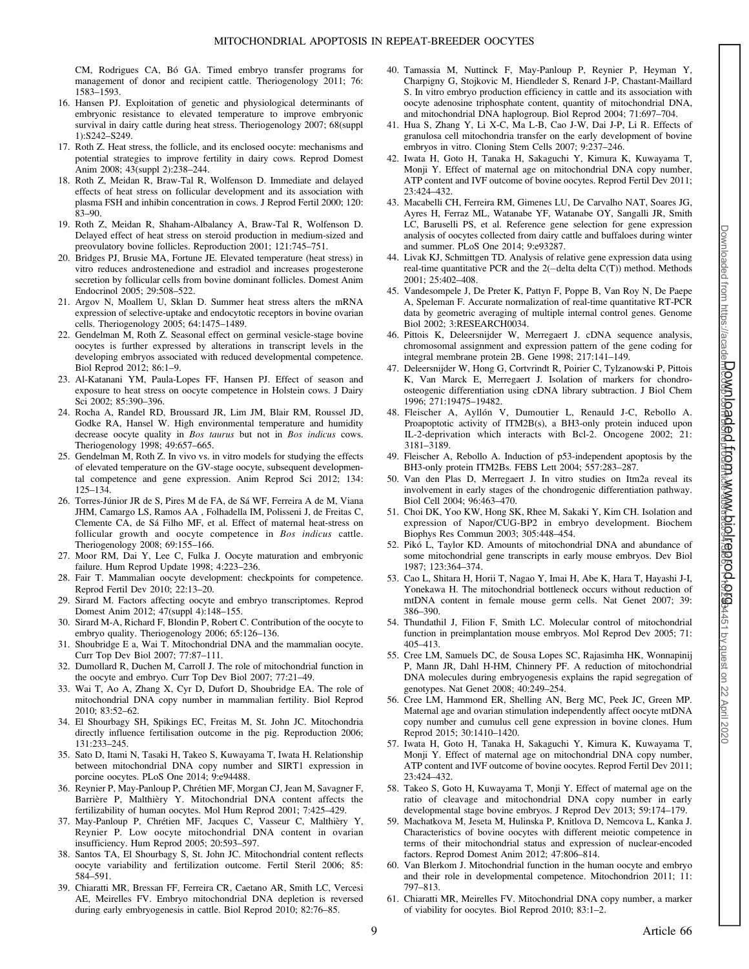CM, Rodrigues CA, Bó GA. Timed embryo transfer programs for management of donor and recipient cattle. Theriogenology 2011; 76: 1583–1593.

- 16. Hansen PJ. Exploitation of genetic and physiological determinants of embryonic resistance to elevated temperature to improve embryonic survival in dairy cattle during heat stress. Theriogenology 2007; 68(suppl 1):S242–S249.
- 17. Roth Z. Heat stress, the follicle, and its enclosed oocyte: mechanisms and potential strategies to improve fertility in dairy cows. Reprod Domest Anim 2008; 43(suppl 2):238–244.
- 18. Roth Z, Meidan R, Braw-Tal R, Wolfenson D. Immediate and delayed effects of heat stress on follicular development and its association with plasma FSH and inhibin concentration in cows. J Reprod Fertil 2000; 120: 83–90.
- 19. Roth Z, Meidan R, Shaham-Albalancy A, Braw-Tal R, Wolfenson D. Delayed effect of heat stress on steroid production in medium-sized and preovulatory bovine follicles. Reproduction 2001; 121:745–751.
- 20. Bridges PJ, Brusie MA, Fortune JE. Elevated temperature (heat stress) in vitro reduces androstenedione and estradiol and increases progesterone secretion by follicular cells from bovine dominant follicles. Domest Anim Endocrinol 2005; 29:508–522.
- 21. Argov N, Moallem U, Sklan D. Summer heat stress alters the mRNA expression of selective-uptake and endocytotic receptors in bovine ovarian cells. Theriogenology 2005; 64:1475–1489.
- 22. Gendelman M, Roth Z. Seasonal effect on germinal vesicle-stage bovine oocytes is further expressed by alterations in transcript levels in the developing embryos associated with reduced developmental competence. Biol Reprod 2012; 86:1–9.
- 23. Al-Katanani YM, Paula-Lopes FF, Hansen PJ. Effect of season and exposure to heat stress on oocyte competence in Holstein cows. J Dairy Sci 2002; 85:390–396.
- 24. Rocha A, Randel RD, Broussard JR, Lim JM, Blair RM, Roussel JD, Godke RA, Hansel W. High environmental temperature and humidity decrease oocyte quality in Bos taurus but not in Bos indicus cows. Theriogenology 1998; 49:657–665.
- 25. Gendelman M, Roth Z. In vivo vs. in vitro models for studying the effects of elevated temperature on the GV-stage oocyte, subsequent developmental competence and gene expression. Anim Reprod Sci 2012; 134: 125–134.
- 26. Torres-Júnior JR de S, Pires M de FA, de Sá WF, Ferreira A de M, Viana JHM, Camargo LS, Ramos AA , Folhadella IM, Polisseni J, de Freitas C, Clemente CA, de Sá Filho MF, et al. Effect of maternal heat-stress on follicular growth and oocyte competence in Bos indicus cattle. Theriogenology 2008; 69:155–166.
- 27. Moor RM, Dai Y, Lee C, Fulka J. Oocyte maturation and embryonic failure. Hum Reprod Update 1998; 4:223–236.
- 28. Fair T. Mammalian oocyte development: checkpoints for competence. Reprod Fertil Dev 2010; 22:13–20.
- 29. Sirard M. Factors affecting oocyte and embryo transcriptomes. Reprod Domest Anim 2012; 47(suppl 4):148–155.
- 30. Sirard M-A, Richard F, Blondin P, Robert C. Contribution of the oocyte to embryo quality. Theriogenology 2006; 65:126–136.
- 31. Shoubridge E a, Wai T. Mitochondrial DNA and the mammalian oocyte. Curr Top Dev Biol 2007; 77:87–111.
- 32. Dumollard R, Duchen M, Carroll J. The role of mitochondrial function in the oocyte and embryo. Curr Top Dev Biol 2007; 77:21–49.
- 33. Wai T, Ao A, Zhang X, Cyr D, Dufort D, Shoubridge EA. The role of mitochondrial DNA copy number in mammalian fertility. Biol Reprod 2010; 83:52–62.
- 34. El Shourbagy SH, Spikings EC, Freitas M, St. John JC. Mitochondria directly influence fertilisation outcome in the pig. Reproduction 2006; 131:233–245.
- 35. Sato D, Itami N, Tasaki H, Takeo S, Kuwayama T, Iwata H. Relationship between mitochondrial DNA copy number and SIRT1 expression in porcine oocytes. PLoS One 2014; 9:e94488.
- 36. Reynier P, May-Panloup P, Chrétien MF, Morgan CJ, Jean M, Savagner F, Barrière P, Malthièry Y. Mitochondrial DNA content affects the fertilizability of human oocytes. Mol Hum Reprod 2001; 7:425–429.
- 37. May-Panloup P, Chrétien MF, Jacques C, Vasseur C, Malthièry Y, Reynier P. Low oocyte mitochondrial DNA content in ovarian insufficiency. Hum Reprod 2005; 20:593–597.
- 38. Santos TA, El Shourbagy S, St. John JC. Mitochondrial content reflects oocyte variability and fertilization outcome. Fertil Steril 2006; 85: 584–591.
- 39. Chiaratti MR, Bressan FF, Ferreira CR, Caetano AR, Smith LC, Vercesi AE, Meirelles FV. Embryo mitochondrial DNA depletion is reversed during early embryogenesis in cattle. Biol Reprod 2010; 82:76–85.
- 40. Tamassia M, Nuttinck F, May-Panloup P, Reynier P, Heyman Y, Charpigny G, Stojkovic M, Hiendleder S, Renard J-P, Chastant-Maillard S. In vitro embryo production efficiency in cattle and its association with oocyte adenosine triphosphate content, quantity of mitochondrial DNA, and mitochondrial DNA haplogroup. Biol Reprod 2004; 71:697–704.
- 41. Hua S, Zhang Y, Li X-C, Ma L-B, Cao J-W, Dai J-P, Li R. Effects of granulosa cell mitochondria transfer on the early development of bovine embryos in vitro. Cloning Stem Cells 2007; 9:237–246.
- 42. Iwata H, Goto H, Tanaka H, Sakaguchi Y, Kimura K, Kuwayama T, Monji Y. Effect of maternal age on mitochondrial DNA copy number, ATP content and IVF outcome of bovine oocytes. Reprod Fertil Dev 2011; 23:424–432.
- 43. Macabelli CH, Ferreira RM, Gimenes LU, De Carvalho NAT, Soares JG, Ayres H, Ferraz ML, Watanabe YF, Watanabe OY, Sangalli JR, Smith LC, Baruselli PS, et al. Reference gene selection for gene expression analysis of oocytes collected from dairy cattle and buffaloes during winter and summer. PLoS One 2014; 9:e93287.
- 44. Livak KJ, Schmittgen TD. Analysis of relative gene expression data using real-time quantitative PCR and the 2(-delta delta C(T)) method. Methods 2001; 25:402–408.
- 45. Vandesompele J, De Preter K, Pattyn F, Poppe B, Van Roy N, De Paepe A, Speleman F. Accurate normalization of real-time quantitative RT-PCR data by geometric averaging of multiple internal control genes. Genome Biol 2002; 3:RESEARCH0034.
- 46. Pittois K, Deleersnijder W, Merregaert J. cDNA sequence analysis, chromosomal assignment and expression pattern of the gene coding for integral membrane protein 2B. Gene 1998; 217:141–149.
- 47. Deleersnijder W, Hong G, Cortvrindt R, Poirier C, Tylzanowski P, Pittois K, Van Marck E, Merregaert J. Isolation of markers for chondroosteogenic differentiation using cDNA library subtraction. J Biol Chem 1996; 271:19475–19482.
- 48. Fleischer A, Ayllón V, Dumoutier L, Renauld J-C, Rebollo A. Proapoptotic activity of ITM2B(s), a BH3-only protein induced upon IL-2-deprivation which interacts with Bcl-2. Oncogene 2002; 21: 3181–3189.
- 49. Fleischer A, Rebollo A. Induction of p53-independent apoptosis by the BH3-only protein ITM2Bs. FEBS Lett 2004; 557:283–287.
- 50. Van den Plas D, Merregaert J. In vitro studies on Itm2a reveal its involvement in early stages of the chondrogenic differentiation pathway. Biol Cell 2004; 96:463–470.
- 51. Choi DK, Yoo KW, Hong SK, Rhee M, Sakaki Y, Kim CH. Isolation and expression of Napor/CUG-BP2 in embryo development. Biochem Biophys Res Commun 2003; 305:448–454.
- 52. Pikó L, Taylor KD. Amounts of mitochondrial DNA and abundance of some mitochondrial gene transcripts in early mouse embryos. Dev Biol 1987; 123:364–374.
- 53. Cao L, Shitara H, Horii T, Nagao Y, Imai H, Abe K, Hara T, Hayashi J-I, Yonekawa H. The mitochondrial bottleneck occurs without reduction of mtDNA content in female mouse germ cells. Nat Genet 2007; 39: 386–390.
- 54. Thundathil J, Filion F, Smith LC. Molecular control of mitochondrial function in preimplantation mouse embryos. Mol Reprod Dev 2005; 71: 405–413.
- 55. Cree LM, Samuels DC, de Sousa Lopes SC, Rajasimha HK, Wonnapinij P, Mann JR, Dahl H-HM, Chinnery PF. A reduction of mitochondrial DNA molecules during embryogenesis explains the rapid segregation of genotypes. Nat Genet 2008; 40:249–254.
- 56. Cree LM, Hammond ER, Shelling AN, Berg MC, Peek JC, Green MP. Maternal age and ovarian stimulation independently affect oocyte mtDNA copy number and cumulus cell gene expression in bovine clones. Hum Reprod 2015; 30:1410–1420.
- 57. Iwata H, Goto H, Tanaka H, Sakaguchi Y, Kimura K, Kuwayama T, Monji Y. Effect of maternal age on mitochondrial DNA copy number, ATP content and IVF outcome of bovine oocytes. Reprod Fertil Dev 2011; 23:424–432.
- 58. Takeo S, Goto H, Kuwayama T, Monji Y. Effect of maternal age on the ratio of cleavage and mitochondrial DNA copy number in early developmental stage bovine embryos. J Reprod Dev 2013; 59:174–179.
- 59. Machatkova M, Jeseta M, Hulinska P, Knitlova D, Nemcova L, Kanka J. Characteristics of bovine oocytes with different meiotic competence in terms of their mitochondrial status and expression of nuclear-encoded factors. Reprod Domest Anim 2012; 47:806–814.
- 60. Van Blerkom J. Mitochondrial function in the human oocyte and embryo and their role in developmental competence. Mitochondrion 2011; 11: 797–813.
- 61. Chiaratti MR, Meirelles FV. Mitochondrial DNA copy number, a marker of viability for oocytes. Biol Reprod 2010; 83:1–2.